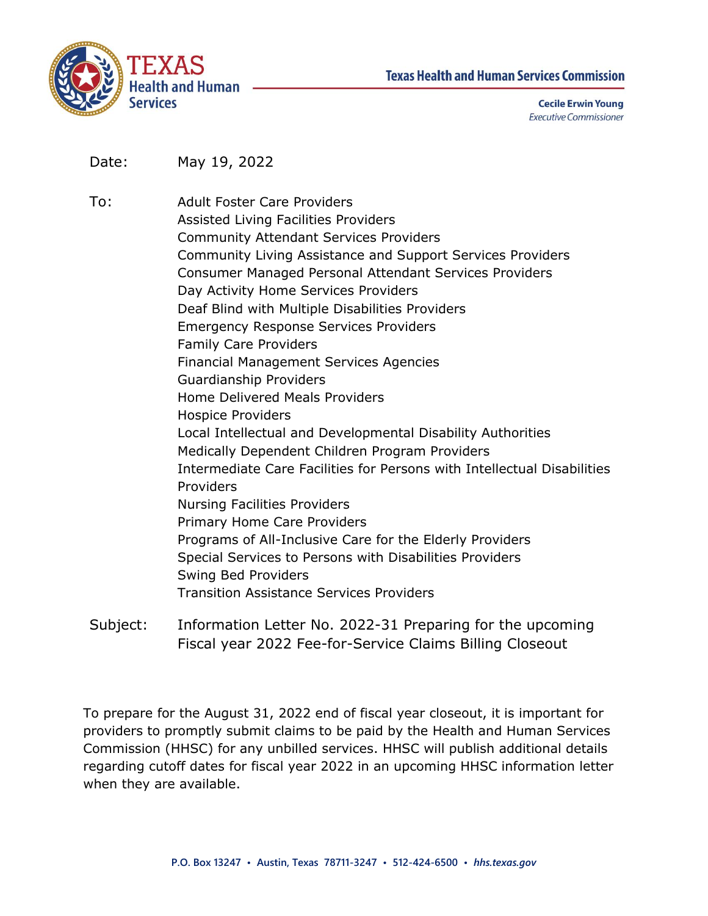



**Cecile Erwin Young Executive Commissioner** 

Date: May 19, 2022

To: Adult Foster Care Providers Assisted Living Facilities Providers Community Attendant Services Providers Community Living Assistance and Support Services Providers Consumer Managed Personal Attendant Services Providers Day Activity Home Services Providers Deaf Blind with Multiple Disabilities Providers Emergency Response Services Providers Family Care Providers Financial Management Services Agencies Guardianship Providers Home Delivered Meals Providers Hospice Providers Local Intellectual and Developmental Disability Authorities Medically Dependent Children Program Providers Intermediate Care Facilities for Persons with Intellectual Disabilities Providers Nursing Facilities Providers Primary Home Care Providers Programs of All-Inclusive Care for the Elderly Providers Special Services to Persons with Disabilities Providers Swing Bed Providers Transition Assistance Services Providers

Subject: Information Letter No. 2022-31 Preparing for the upcoming Fiscal year 2022 Fee-for-Service Claims Billing Closeout

To prepare for the August 31, 2022 end of fiscal year closeout, it is important for providers to promptly submit claims to be paid by the Health and Human Services Commission (HHSC) for any unbilled services. HHSC will publish additional details regarding cutoff dates for fiscal year 2022 in an upcoming HHSC information letter when they are available.